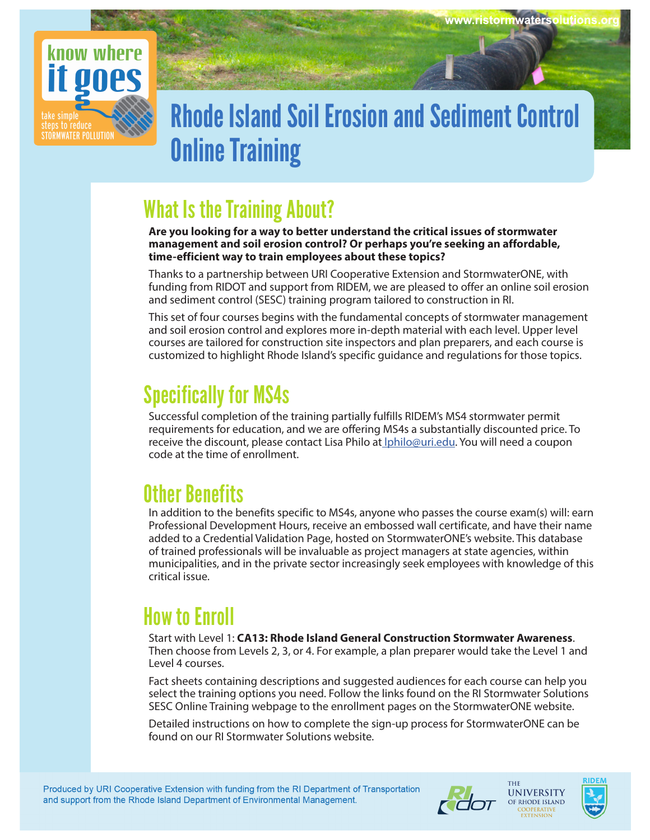

# Rhode Island Soil Erosion and Sediment Control Online Training

### What Is the Training About?

**Are you looking for a way to better understand the critical issues of stormwater management and soil erosion control? Or perhaps you're seeking an affordable, time-efficient way to train employees about these topics?** 

Thanks to a partnership between URI Cooperative Extension and StormwaterONE, with funding from RIDOT and support from RIDEM, we are pleased to offer an online soil erosion and sediment control (SESC) training program tailored to construction in RI.

This set of four courses begins with the fundamental concepts of stormwater management and soil erosion control and explores more in-depth material with each level. Upper level courses are tailored for construction site inspectors and plan preparers, and each course is customized to highlight Rhode Island's specific guidance and regulations for those topics.

## Specifically for MS4s

Successful completion of the training partially fulfills RIDEM's MS4 stormwater permit requirements for education, and we are offering MS4s a substantially discounted price. To receive the discount, please contact Lisa Philo at lphilo@uri.edu. You will need a coupon code at the time of enrollment.

## Other Benefits

In addition to the benefits specific to MS4s, anyone who passes the course exam(s) will: earn Professional Development Hours, receive an embossed wall certificate, and have their name added to a Credential Validation Page, hosted on StormwaterONE's website. This database of trained professionals will be invaluable as project managers at state agencies, within municipalities, and in the private sector increasingly seek employees with knowledge of this critical issue.

## How to Enroll

Start with Level 1: **CA13: Rhode Island General Construction Stormwater Awareness**. Then choose from Levels 2, 3, or 4. For example, a plan preparer would take the Level 1 and Level 4 courses.

Fact sheets containing descriptions and suggested audiences for each course can help you select the training options you need. Follow the links found on the RI Stormwater Solutions SESC Online Training webpage to the enrollment pages on the StormwaterONE website.

Detailed instructions on how to complete the sign-up process for StormwaterONE can be found on our RI Stormwater Solutions website.





THE